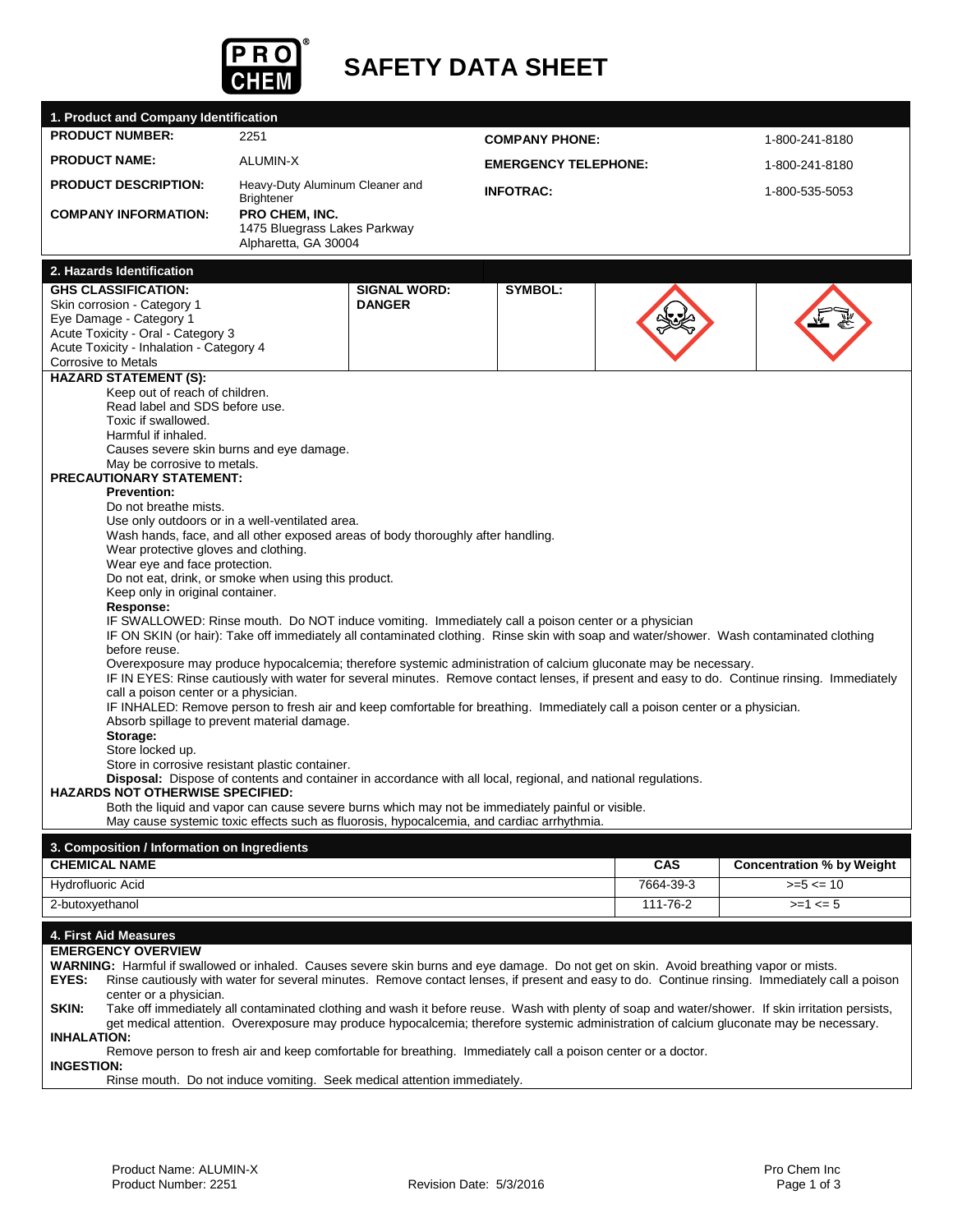

# **SAFETY DATA SHEET**

| 1. Product and Company Identification                                                                                                                                                                                                                                                               |                                                     |                                                                                                                 |                             |                |                                                                                                                                              |  |  |
|-----------------------------------------------------------------------------------------------------------------------------------------------------------------------------------------------------------------------------------------------------------------------------------------------------|-----------------------------------------------------|-----------------------------------------------------------------------------------------------------------------|-----------------------------|----------------|----------------------------------------------------------------------------------------------------------------------------------------------|--|--|
| <b>PRODUCT NUMBER:</b>                                                                                                                                                                                                                                                                              | 2251                                                |                                                                                                                 | <b>COMPANY PHONE:</b>       |                | 1-800-241-8180                                                                                                                               |  |  |
| <b>PRODUCT NAME:</b>                                                                                                                                                                                                                                                                                | ALUMIN-X                                            |                                                                                                                 | <b>EMERGENCY TELEPHONE:</b> | 1-800-241-8180 |                                                                                                                                              |  |  |
| <b>PRODUCT DESCRIPTION:</b>                                                                                                                                                                                                                                                                         | Heavy-Duty Aluminum Cleaner and<br><b>INFOTRAC:</b> |                                                                                                                 |                             |                | 1-800-535-5053                                                                                                                               |  |  |
| <b>COMPANY INFORMATION:</b>                                                                                                                                                                                                                                                                         | <b>Brightener</b><br>PRO CHEM, INC.                 |                                                                                                                 |                             |                |                                                                                                                                              |  |  |
|                                                                                                                                                                                                                                                                                                     | 1475 Bluegrass Lakes Parkway                        |                                                                                                                 |                             |                |                                                                                                                                              |  |  |
|                                                                                                                                                                                                                                                                                                     | Alpharetta, GA 30004                                |                                                                                                                 |                             |                |                                                                                                                                              |  |  |
| 2. Hazards Identification                                                                                                                                                                                                                                                                           |                                                     |                                                                                                                 |                             |                |                                                                                                                                              |  |  |
| <b>GHS CLASSIFICATION:</b>                                                                                                                                                                                                                                                                          |                                                     | <b>SIGNAL WORD:</b>                                                                                             | <b>SYMBOL:</b>              |                |                                                                                                                                              |  |  |
| Skin corrosion - Category 1<br>Eye Damage - Category 1                                                                                                                                                                                                                                              |                                                     | <b>DANGER</b>                                                                                                   |                             |                |                                                                                                                                              |  |  |
| Acute Toxicity - Oral - Category 3                                                                                                                                                                                                                                                                  |                                                     |                                                                                                                 |                             |                |                                                                                                                                              |  |  |
| Acute Toxicity - Inhalation - Category 4                                                                                                                                                                                                                                                            |                                                     |                                                                                                                 |                             |                |                                                                                                                                              |  |  |
| <b>Corrosive to Metals</b><br><b>HAZARD STATEMENT (S):</b>                                                                                                                                                                                                                                          |                                                     |                                                                                                                 |                             |                |                                                                                                                                              |  |  |
| Keep out of reach of children.                                                                                                                                                                                                                                                                      |                                                     |                                                                                                                 |                             |                |                                                                                                                                              |  |  |
| Read label and SDS before use.                                                                                                                                                                                                                                                                      |                                                     |                                                                                                                 |                             |                |                                                                                                                                              |  |  |
| Toxic if swallowed.<br>Harmful if inhaled.                                                                                                                                                                                                                                                          |                                                     |                                                                                                                 |                             |                |                                                                                                                                              |  |  |
| Causes severe skin burns and eye damage.                                                                                                                                                                                                                                                            |                                                     |                                                                                                                 |                             |                |                                                                                                                                              |  |  |
| May be corrosive to metals.                                                                                                                                                                                                                                                                         |                                                     |                                                                                                                 |                             |                |                                                                                                                                              |  |  |
| <b>PRECAUTIONARY STATEMENT:</b><br><b>Prevention:</b>                                                                                                                                                                                                                                               |                                                     |                                                                                                                 |                             |                |                                                                                                                                              |  |  |
| Do not breathe mists.                                                                                                                                                                                                                                                                               |                                                     |                                                                                                                 |                             |                |                                                                                                                                              |  |  |
| Use only outdoors or in a well-ventilated area.                                                                                                                                                                                                                                                     |                                                     |                                                                                                                 |                             |                |                                                                                                                                              |  |  |
| Wear protective gloves and clothing.                                                                                                                                                                                                                                                                |                                                     | Wash hands, face, and all other exposed areas of body thoroughly after handling.                                |                             |                |                                                                                                                                              |  |  |
| Wear eye and face protection.                                                                                                                                                                                                                                                                       |                                                     |                                                                                                                 |                             |                |                                                                                                                                              |  |  |
| Do not eat, drink, or smoke when using this product.                                                                                                                                                                                                                                                |                                                     |                                                                                                                 |                             |                |                                                                                                                                              |  |  |
|                                                                                                                                                                                                                                                                                                     | Keep only in original container.                    |                                                                                                                 |                             |                |                                                                                                                                              |  |  |
| Response:<br>IF SWALLOWED: Rinse mouth. Do NOT induce vomiting. Immediately call a poison center or a physician                                                                                                                                                                                     |                                                     |                                                                                                                 |                             |                |                                                                                                                                              |  |  |
|                                                                                                                                                                                                                                                                                                     |                                                     |                                                                                                                 |                             |                | IF ON SKIN (or hair): Take off immediately all contaminated clothing. Rinse skin with soap and water/shower. Wash contaminated clothing      |  |  |
| before reuse.                                                                                                                                                                                                                                                                                       |                                                     | Overexposure may produce hypocalcemia; therefore systemic administration of calcium gluconate may be necessary. |                             |                |                                                                                                                                              |  |  |
|                                                                                                                                                                                                                                                                                                     |                                                     |                                                                                                                 |                             |                | IF IN EYES: Rinse cautiously with water for several minutes. Remove contact lenses, if present and easy to do. Continue rinsing. Immediately |  |  |
| call a poison center or a physician.                                                                                                                                                                                                                                                                |                                                     |                                                                                                                 |                             |                |                                                                                                                                              |  |  |
| IF INHALED: Remove person to fresh air and keep comfortable for breathing. Immediately call a poison center or a physician.                                                                                                                                                                         |                                                     |                                                                                                                 |                             |                |                                                                                                                                              |  |  |
| Absorb spillage to prevent material damage.<br>Storage:                                                                                                                                                                                                                                             |                                                     |                                                                                                                 |                             |                |                                                                                                                                              |  |  |
| Store locked up.                                                                                                                                                                                                                                                                                    |                                                     |                                                                                                                 |                             |                |                                                                                                                                              |  |  |
| Store in corrosive resistant plastic container.<br>Disposal: Dispose of contents and container in accordance with all local, regional, and national regulations.                                                                                                                                    |                                                     |                                                                                                                 |                             |                |                                                                                                                                              |  |  |
| <b>HAZARDS NOT OTHERWISE SPECIFIED:</b>                                                                                                                                                                                                                                                             |                                                     |                                                                                                                 |                             |                |                                                                                                                                              |  |  |
|                                                                                                                                                                                                                                                                                                     |                                                     | Both the liquid and vapor can cause severe burns which may not be immediately painful or visible.               |                             |                |                                                                                                                                              |  |  |
|                                                                                                                                                                                                                                                                                                     |                                                     | May cause systemic toxic effects such as fluorosis, hypocalcemia, and cardiac arrhythmia.                       |                             |                |                                                                                                                                              |  |  |
| 3. Composition / Information on Ingredients                                                                                                                                                                                                                                                         |                                                     |                                                                                                                 |                             |                |                                                                                                                                              |  |  |
| <b>CHEMICAL NAME</b>                                                                                                                                                                                                                                                                                |                                                     |                                                                                                                 |                             | <b>CAS</b>     | <b>Concentration % by Weight</b>                                                                                                             |  |  |
| Hydrofluoric Acid                                                                                                                                                                                                                                                                                   |                                                     |                                                                                                                 |                             | 7664-39-3      | $>= 5 < 10$                                                                                                                                  |  |  |
| 2-butoxyethanol                                                                                                                                                                                                                                                                                     |                                                     |                                                                                                                 |                             | 111-76-2       | $>=1 \le 5$                                                                                                                                  |  |  |
| 4. First Aid Measures                                                                                                                                                                                                                                                                               |                                                     |                                                                                                                 |                             |                |                                                                                                                                              |  |  |
| <b>EMERGENCY OVERVIEW</b>                                                                                                                                                                                                                                                                           |                                                     |                                                                                                                 |                             |                |                                                                                                                                              |  |  |
| WARNING: Harmful if swallowed or inhaled. Causes severe skin burns and eye damage. Do not get on skin. Avoid breathing vapor or mists.<br>EYES:<br>Rinse cautiously with water for several minutes. Remove contact lenses, if present and easy to do. Continue rinsing. Immediately call a poison   |                                                     |                                                                                                                 |                             |                |                                                                                                                                              |  |  |
| center or a physician.                                                                                                                                                                                                                                                                              |                                                     |                                                                                                                 |                             |                |                                                                                                                                              |  |  |
| SKIN:<br>Take off immediately all contaminated clothing and wash it before reuse. Wash with plenty of soap and water/shower. If skin irritation persists,<br>get medical attention. Overexposure may produce hypocalcemia; therefore systemic administration of calcium gluconate may be necessary. |                                                     |                                                                                                                 |                             |                |                                                                                                                                              |  |  |
| <b>INHALATION:</b>                                                                                                                                                                                                                                                                                  |                                                     |                                                                                                                 |                             |                |                                                                                                                                              |  |  |
| Remove person to fresh air and keep comfortable for breathing. Immediately call a poison center or a doctor.<br><b>INGESTION:</b>                                                                                                                                                                   |                                                     |                                                                                                                 |                             |                |                                                                                                                                              |  |  |

Rinse mouth. Do not induce vomiting. Seek medical attention immediately.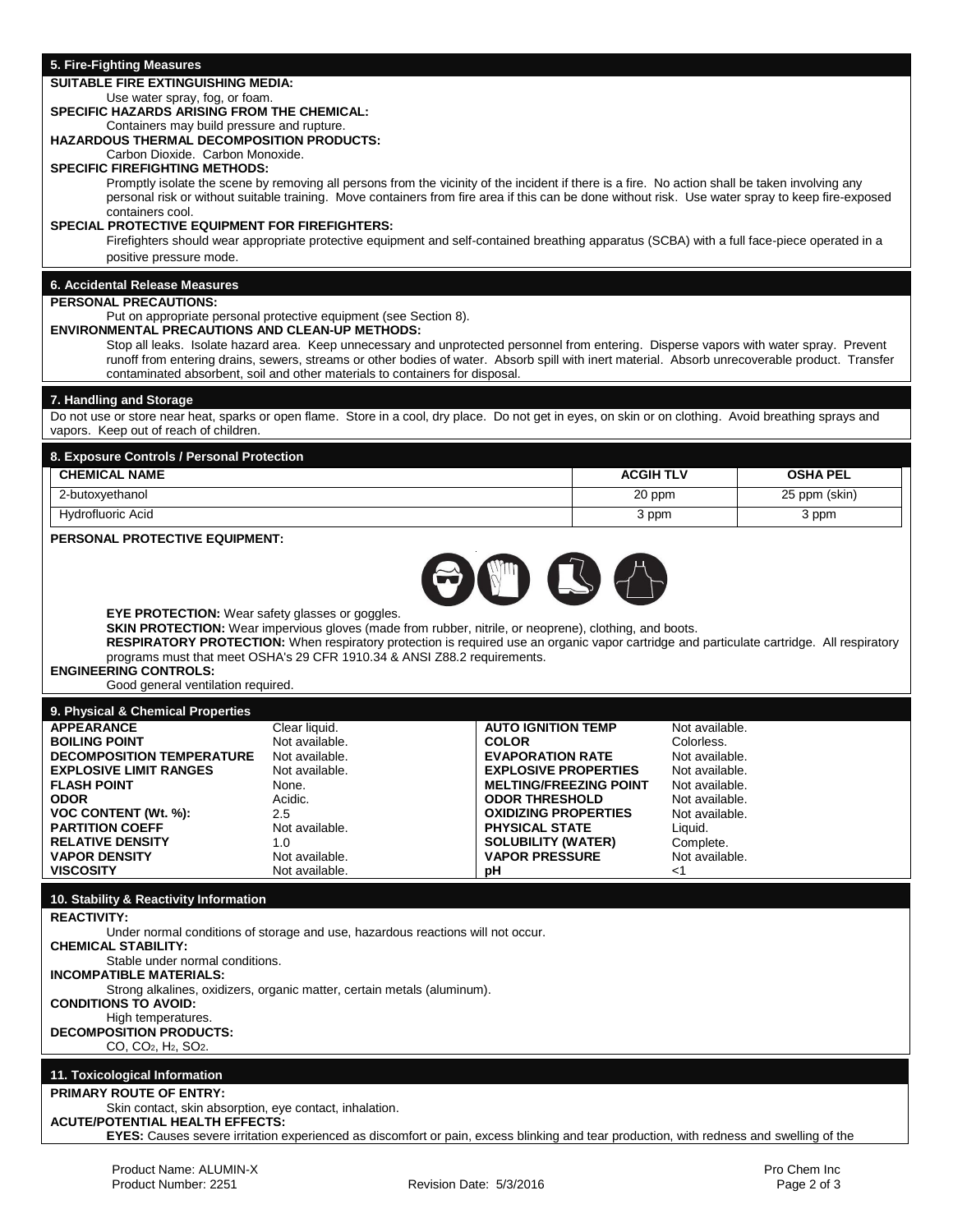#### **5. Fire-Fighting Measures**

#### **SUITABLE FIRE EXTINGUISHING MEDIA:**

#### Use water spray, fog, or foam.

### **SPECIFIC HAZARDS ARISING FROM THE CHEMICAL:**

#### Containers may build pressure and rupture. **HAZARDOUS THERMAL DECOMPOSITION PRODUCTS:**

Carbon Dioxide. Carbon Monoxide.

### **SPECIFIC FIREFIGHTING METHODS:**

Promptly isolate the scene by removing all persons from the vicinity of the incident if there is a fire. No action shall be taken involving any personal risk or without suitable training. Move containers from fire area if this can be done without risk. Use water spray to keep fire-exposed containers cool.

#### **SPECIAL PROTECTIVE EQUIPMENT FOR FIREFIGHTERS:**

Firefighters should wear appropriate protective equipment and self-contained breathing apparatus (SCBA) with a full face-piece operated in a positive pressure mode.

## **6. Accidental Release Measures**

### **PERSONAL PRECAUTIONS:**

### Put on appropriate personal protective equipment (see Section 8).

**ENVIRONMENTAL PRECAUTIONS AND CLEAN-UP METHODS:**

Stop all leaks. Isolate hazard area. Keep unnecessary and unprotected personnel from entering. Disperse vapors with water spray. Prevent runoff from entering drains, sewers, streams or other bodies of water. Absorb spill with inert material. Absorb unrecoverable product. Transfer contaminated absorbent, soil and other materials to containers for disposal.

#### **7. Handling and Storage**

Do not use or store near heat, sparks or open flame. Store in a cool, dry place. Do not get in eyes, on skin or on clothing. Avoid breathing sprays and vapors. Keep out of reach of children.

| 8. Exposure Controls / Personal Protection |                  |                 |  |  |  |
|--------------------------------------------|------------------|-----------------|--|--|--|
| <b>CHEMICAL NAME</b>                       | <b>ACGIH TLV</b> | <b>OSHA PEL</b> |  |  |  |
| 2-butoxyethanol                            | 20 ppm           | 25 ppm (skin)   |  |  |  |
| Hydrofluoric Acid                          | 3 ppm            | 3 ppm           |  |  |  |

#### **PERSONAL PROTECTIVE EQUIPMENT:**



**EYE PROTECTION:** Wear safety glasses or goggles.

**SKIN PROTECTION:** Wear impervious gloves (made from rubber, nitrile, or neoprene), clothing, and boots. **RESPIRATORY PROTECTION:** When respiratory protection is required use an organic vapor cartridge and particulate cartridge. All respiratory programs must that meet OSHA's 29 CFR 1910.34 & ANSI Z88.2 requirements.

#### **ENGINEERING CONTROLS:**

Good general ventilation required.

| 9. Physical & Chemical Properties |                |                               |                |
|-----------------------------------|----------------|-------------------------------|----------------|
| <b>APPEARANCE</b>                 | Clear liquid.  | <b>AUTO IGNITION TEMP</b>     | Not available. |
| <b>BOILING POINT</b>              | Not available. | <b>COLOR</b>                  | Colorless.     |
| <b>DECOMPOSITION TEMPERATURE</b>  | Not available. | <b>EVAPORATION RATE</b>       | Not available. |
| <b>EXPLOSIVE LIMIT RANGES</b>     | Not available. | <b>EXPLOSIVE PROPERTIES</b>   | Not available. |
| <b>FLASH POINT</b>                | None.          | <b>MELTING/FREEZING POINT</b> | Not available. |
| <b>ODOR</b>                       | Acidic.        | <b>ODOR THRESHOLD</b>         | Not available. |
| VOC CONTENT (Wt. %):              | 2.5            | <b>OXIDIZING PROPERTIES</b>   | Not available. |
| <b>PARTITION COEFF</b>            | Not available. | <b>PHYSICAL STATE</b>         | Liauid.        |
| <b>RELATIVE DENSITY</b>           | 1.0            | <b>SOLUBILITY (WATER)</b>     | Complete.      |
| <b>VAPOR DENSITY</b>              | Not available. | <b>VAPOR PRESSURE</b>         | Not available. |
| <b>VISCOSITY</b>                  | Not available. | рH                            | <1             |

### **10. Stability & Reactivity Information**

**REACTIVITY:** 

Under normal conditions of storage and use, hazardous reactions will not occur. **CHEMICAL STABILITY:**  Stable under normal conditions. **INCOMPATIBLE MATERIALS:**  Strong alkalines, oxidizers, organic matter, certain metals (aluminum). **CONDITIONS TO AVOID:**  High temperatures. **DECOMPOSITION PRODUCTS:**  CO, CO2, H2, SO2. **11. Toxicological Information PRIMARY ROUTE OF ENTRY:**  Skin contact, skin absorption, eye contact, inhalation. **ACUTE/POTENTIAL HEALTH EFFECTS:**

**EYES:** Causes severe irritation experienced as discomfort or pain, excess blinking and tear production, with redness and swelling of the